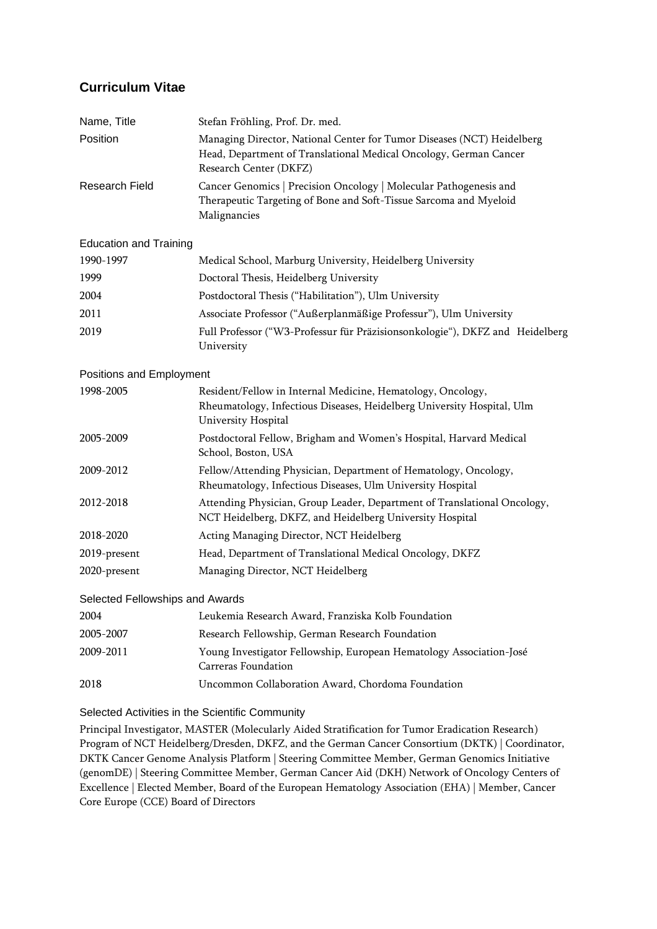## **Curriculum Vitae**

| Name, Title                     | Stefan Fröhling, Prof. Dr. med.                                                                                                                                       |
|---------------------------------|-----------------------------------------------------------------------------------------------------------------------------------------------------------------------|
| Position                        | Managing Director, National Center for Tumor Diseases (NCT) Heidelberg<br>Head, Department of Translational Medical Oncology, German Cancer<br>Research Center (DKFZ) |
| Research Field                  | Cancer Genomics   Precision Oncology   Molecular Pathogenesis and<br>Therapeutic Targeting of Bone and Soft-Tissue Sarcoma and Myeloid<br>Malignancies                |
| <b>Education and Training</b>   |                                                                                                                                                                       |
| 1990-1997                       | Medical School, Marburg University, Heidelberg University                                                                                                             |
| 1999                            | Doctoral Thesis, Heidelberg University                                                                                                                                |
| 2004                            | Postdoctoral Thesis ("Habilitation"), Ulm University                                                                                                                  |
| 2011                            | Associate Professor ("Außerplanmäßige Professur"), Ulm University                                                                                                     |
| 2019                            | Full Professor ("W3-Professur für Präzisionsonkologie"), DKFZ and Heidelberg<br>University                                                                            |
| Positions and Employment        |                                                                                                                                                                       |
| 1998-2005                       | Resident/Fellow in Internal Medicine, Hematology, Oncology,<br>Rheumatology, Infectious Diseases, Heidelberg University Hospital, Ulm<br>University Hospital          |
| 2005-2009                       | Postdoctoral Fellow, Brigham and Women's Hospital, Harvard Medical<br>School, Boston, USA                                                                             |
| 2009-2012                       | Fellow/Attending Physician, Department of Hematology, Oncology,<br>Rheumatology, Infectious Diseases, Ulm University Hospital                                         |
| 2012-2018                       | Attending Physician, Group Leader, Department of Translational Oncology,<br>NCT Heidelberg, DKFZ, and Heidelberg University Hospital                                  |
| 2018-2020                       | Acting Managing Director, NCT Heidelberg                                                                                                                              |
| 2019-present                    | Head, Department of Translational Medical Oncology, DKFZ                                                                                                              |
| 2020-present                    | Managing Director, NCT Heidelberg                                                                                                                                     |
| Selected Fellowships and Awards |                                                                                                                                                                       |
| 2004                            | Leukemia Research Award, Franziska Kolb Foundation                                                                                                                    |
| 2005-2007                       | Research Fellowship, German Research Foundation                                                                                                                       |
| 2009-2011                       | Young Investigator Fellowship, European Hematology Association-José<br><b>Carreras Foundation</b>                                                                     |
| 2018                            | Uncommon Collaboration Award, Chordoma Foundation                                                                                                                     |

Selected Activities in the Scientific Community

Principal Investigator, MASTER (Molecularly Aided Stratification for Tumor Eradication Research) Program of NCT Heidelberg/Dresden, DKFZ, and the German Cancer Consortium (DKTK) | Coordinator, DKTK Cancer Genome Analysis Platform | Steering Committee Member, German Genomics Initiative (genomDE) | Steering Committee Member, German Cancer Aid (DKH) Network of Oncology Centers of Excellence | Elected Member, Board of the European Hematology Association (EHA) | Member, Cancer Core Europe (CCE) Board of Directors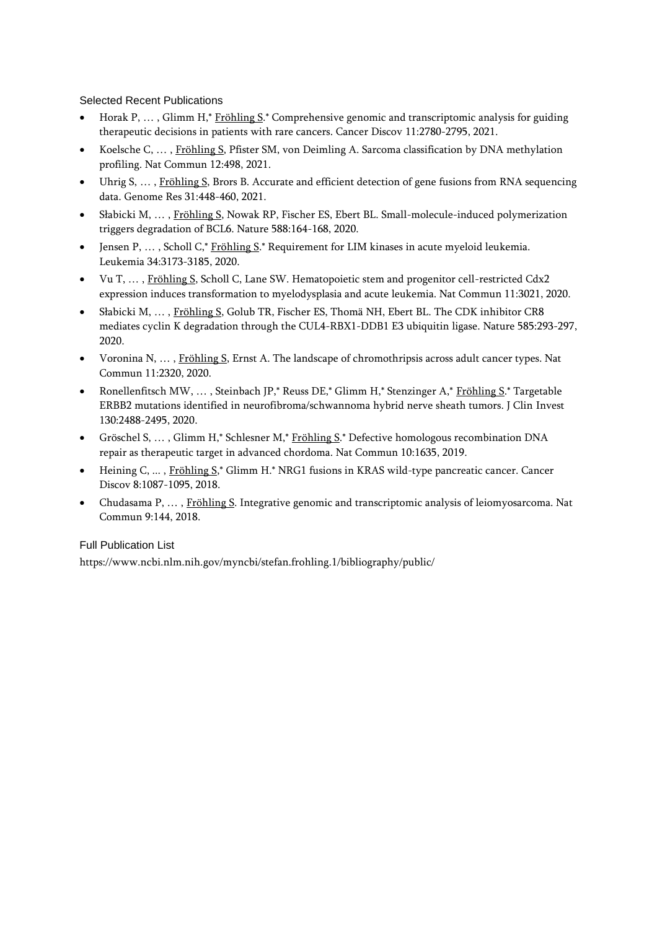## Selected Recent Publications

- Horak P, … , Glimm H,\* Fröhling S.\* Comprehensive genomic and transcriptomic analysis for guiding therapeutic decisions in patients with rare cancers. Cancer Discov 11:2780-2795, 2021.
- Koelsche C, … , Fröhling S, Pfister SM, von Deimling A. Sarcoma classification by DNA methylation profiling. Nat Commun 12:498, 2021.
- Uhrig S, ..., Fröhling S, Brors B. Accurate and efficient detection of gene fusions from RNA sequencing data. Genome Res 31:448-460, 2021.
- Słabicki M, … , Fröhling S, Nowak RP, Fischer ES, Ebert BL. Small-molecule-induced polymerization triggers degradation of BCL6. Nature 588:164-168, 2020.
- Jensen P, ..., Scholl C,\* Fröhling S.\* Requirement for LIM kinases in acute myeloid leukemia. Leukemia 34:3173-3185, 2020.
- Vu T, … , Fröhling S, Scholl C, Lane SW. Hematopoietic stem and progenitor cell-restricted Cdx2 expression induces transformation to myelodysplasia and acute leukemia. Nat Commun 11:3021, 2020.
- Słabicki M, … , Fröhling S, Golub TR, Fischer ES, Thomä NH, Ebert BL. The CDK inhibitor CR8 mediates cyclin K degradation through the CUL4-RBX1-DDB1 E3 ubiquitin ligase. Nature 585:293-297, 2020.
- Voronina N, … , Fröhling S, Ernst A. The landscape of chromothripsis across adult cancer types. Nat Commun 11:2320, 2020.
- Ronellenfitsch MW, … , Steinbach JP,\* Reuss DE,\* Glimm H,\* Stenzinger A,\* Fröhling S.\* Targetable ERBB2 mutations identified in neurofibroma/schwannoma hybrid nerve sheath tumors. J Clin Invest 130:2488-2495, 2020.
- Gröschel S, ..., Glimm H,\* Schlesner M,\* Fröhling S.\* Defective homologous recombination DNA repair as therapeutic target in advanced chordoma. Nat Commun 10:1635, 2019.
- Heining C, ... , Fröhling S,\* Glimm H.\* NRG1 fusions in KRAS wild-type pancreatic cancer. Cancer Discov 8:1087-1095, 2018.
- Chudasama P, … , Fröhling S. Integrative genomic and transcriptomic analysis of leiomyosarcoma. Nat Commun 9:144, 2018.

## Full Publication List

https://www.ncbi.nlm.nih.gov/myncbi/stefan.frohling.1/bibliography/public/